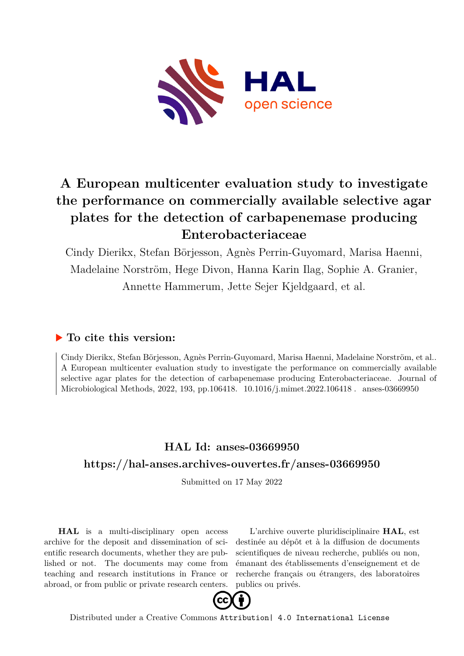

# **A European multicenter evaluation study to investigate the performance on commercially available selective agar plates for the detection of carbapenemase producing Enterobacteriaceae**

Cindy Dierikx, Stefan Börjesson, Agnès Perrin-Guyomard, Marisa Haenni, Madelaine Norström, Hege Divon, Hanna Karin Ilag, Sophie A. Granier, Annette Hammerum, Jette Sejer Kjeldgaard, et al.

### **To cite this version:**

Cindy Dierikx, Stefan Börjesson, Agnès Perrin-Guyomard, Marisa Haenni, Madelaine Norström, et al.. A European multicenter evaluation study to investigate the performance on commercially available selective agar plates for the detection of carbapenemase producing Enterobacteriaceae. Journal of Microbiological Methods, 2022, 193, pp.106418. 10.1016/j.mimet.2022.106418. anses-03669950

## **HAL Id: anses-03669950 <https://hal-anses.archives-ouvertes.fr/anses-03669950>**

Submitted on 17 May 2022

**HAL** is a multi-disciplinary open access archive for the deposit and dissemination of scientific research documents, whether they are published or not. The documents may come from teaching and research institutions in France or abroad, or from public or private research centers.

L'archive ouverte pluridisciplinaire **HAL**, est destinée au dépôt et à la diffusion de documents scientifiques de niveau recherche, publiés ou non, émanant des établissements d'enseignement et de recherche français ou étrangers, des laboratoires publics ou privés.



Distributed under a Creative Commons [Attribution| 4.0 International License](http://creativecommons.org/licenses/by/4.0/)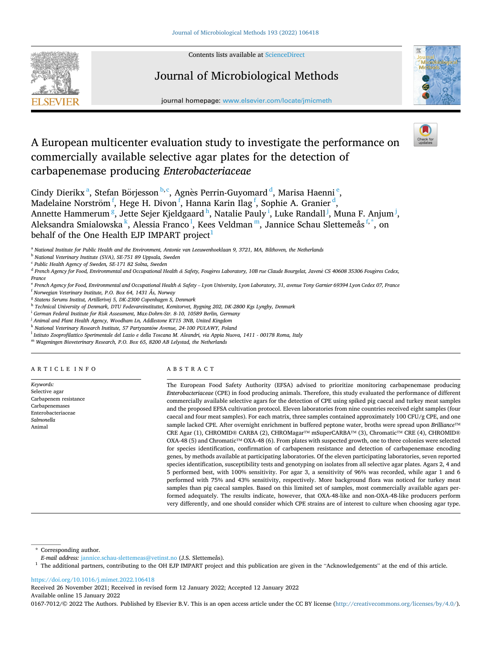## Contents lists available at [ScienceDirect](www.sciencedirect.com/science/journal/01677012) Journal of Microbiological Methods





### A European multicenter evaluation study to investigate the performance on commercially available selective agar plates for the detection of carbapenemase producing *Enterobacteriaceae*

Cindy Dierikx<sup>a</sup>, Stefan Börjesson <sup>b, c</sup>, Agnès Perrin-Guyomard <sup>d</sup>, Marisa Haenni<sup>e</sup>, Madelaine Norström $^{\rm f}$ , Hege H. Divon $^{\rm f}$ , Hanna Karin Ilag $^{\rm f}$ , Sophie A. Granier $^{\rm d}$ , Annette Hammerum  $^{\rm g}$ , Jette Sejer Kjeldgaard  $^{\rm h}$ , Natalie Pauly  $^{\rm i}$ , Luke Randall  $^{\rm j}$ , Muna F. Anjum  $^{\rm j}$ , Aleksandra Smialowska $^{\rm k}$ , Alessia Franco<sup>1</sup>, Kees Veldman $^{\rm m}$ , Jannice Schau Slettemeås  $^{\rm f, *},$  on behalf of the One Health EJP IMPART project<sup>1</sup>

<sup>a</sup> *National Institute for Public Health and the Environment, Antonie van Leeuwenhoeklaan 9, 3721, MA, Bilthoven, the Netherlands* 

<sup>b</sup> *National Veterinary Institute (SVA), SE-751 89 Uppsala, Sweden* 

<sup>c</sup> *Public Health Agency of Sweden, SE-171 82 Solna, Sweden* 

<sup>d</sup> French Agency for Food, Environmental and Occupational Health & Safety, Fougères Laboratory, 10B rue Claude Bourgelat, Javené CS 40608 35306 Fougères Cedex, *France* 

<sup>e</sup> *French Agency for Food, Environmental and Occupational Health & Safety* – *Lyon University, Lyon Laboratory, 31, avenue Tony Garnier 69394 Lyon Cedex 07, France* 

<sup>f</sup> *Norwegian Veterinary Institute, P.O. Box 64, 1431 Ås, Norway* 

<sup>g</sup> *Statens Serums Institut, Artillerivej 5, DK-2300 Copenhagen S, Denmark* 

<sup>h</sup> *Technical University of Denmark, DTU Fødevareinstituttet, Kemitorvet, Bygning 202, DK-2800 Kgs Lyngby, Denmark* 

<sup>i</sup> *German Federal Institute for Risk Assessment, Max-Dohrn-Str. 8-10, 10589 Berlin, Germany* 

<sup>j</sup> *Animal and Plant Health Agency, Woodham Ln, Addlestone KT15 3NB, United Kingdom* 

<sup>k</sup> National Veterinary Research Institute, 57 Partyzantów Avenue, 24-100 PUŁAWY, Poland

<sup>l</sup> *Istituto Zooprofilattico Sperimentale del Lazio e della Toscana M. Aleandri, via Appia Nuova, 1411 - 00178 Roma, Italy* 

<sup>m</sup> *Wageningen Bioveterinary Research, P.O. Box 65, 8200 AB Lelystad, the Netherlands* 

#### ARTICLE INFO

**SEVIER** 

*Keywords:*  Selective agar Carbapenem resistance Carbapenemases Enterobacteriaceae *Salmonella*  Animal

#### ABSTRACT

The European Food Safety Authority (EFSA) advised to prioritize monitoring carbapenemase producing *Enterobacteriaceae* (CPE) in food producing animals. Therefore, this study evaluated the performance of different commercially available selective agars for the detection of CPE using spiked pig caecal and turkey meat samples and the proposed EFSA cultivation protocol. Eleven laboratories from nine countries received eight samples (four caecal and four meat samples). For each matrix, three samples contained approximately 100 CFU/g CPE, and one sample lacked CPE. After overnight enrichment in buffered peptone water, broths were spread upon *Brilliance*™ CRE Agar (1), CHROMID® CARBA (2), CHROMagar™ mSuperCARBA™ (3), Chromatic™ CRE (4), CHROMID® OXA-48 (5) and Chromatic™ OXA-48 (6). From plates with suspected growth, one to three colonies were selected for species identification, confirmation of carbapenem resistance and detection of carbapenemase encoding genes, by methods available at participating laboratories. Of the eleven participating laboratories, seven reported species identification, susceptibility tests and genotyping on isolates from all selective agar plates. Agars 2, 4 and 5 performed best, with 100% sensitivity. For agar 3, a sensitivity of 96% was recorded, while agar 1 and 6 performed with 75% and 43% sensitivity, respectively. More background flora was noticed for turkey meat samples than pig caecal samples. Based on this limited set of samples, most commercially available agars performed adequately. The results indicate, however, that OXA-48-like and non-OXA-48-like producers perform very differently, and one should consider which CPE strains are of interest to culture when choosing agar type.

<https://doi.org/10.1016/j.mimet.2022.106418>

Available online 15 January 2022 Received 26 November 2021; Received in revised form 12 January 2022; Accepted 12 January 2022

0167-7012/© 2022 The Authors. Published by Elsevier B.V. This is an open access article under the CC BY license [\(http://creativecommons.org/licenses/by/4.0/\)](http://creativecommons.org/licenses/by/4.0/).

<sup>\*</sup> Corresponding author.<br>E-mail address: jannice.schau-slettemeas@vetinst.no (J.S. Slettemeås).

<sup>&</sup>lt;sup>1</sup> The additional partners, contributing to the OH EJP IMPART project and this publication are given in the "Acknowledgements" at the end of this article.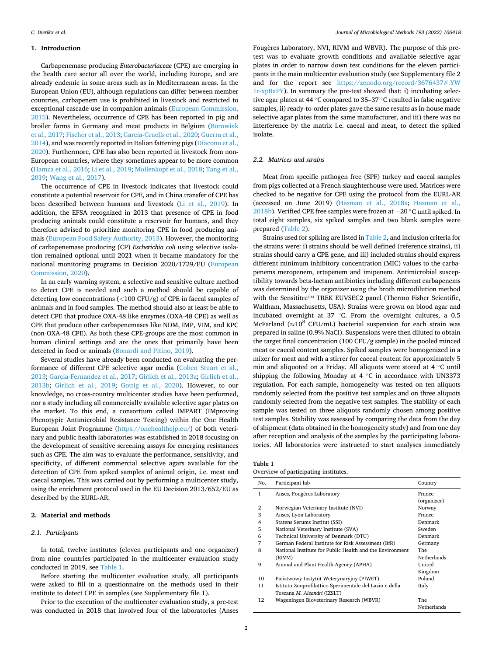#### **1. Introduction**

Carbapenemase producing *Enterobacteriaceae* (CPE) are emerging in the health care sector all over the world, including Europe, and are already endemic in some areas such as in Mediterranean areas. In the European Union (EU), although regulations can differ between member countries, carbapenem use is prohibited in livestock and restricted to exceptional cascade use in companion animals (European Commission, 2015). Nevertheless, occurrence of CPE has been reported in pig and broiler farms in Germany and meat products in Belgium (Borowiak et al., 2017; Fischer et al., 2013; Garcia-Graells et al., 2020; Guerra et al., 2014), and was recently reported in Italian fattening pigs (Diaconu et al., 2020). Furthermore, CPE has also been reported in livestock from non-European countries, where they sometimes appear to be more common (Hamza et al., 2016; Li et al., 2019; Mollenkopf et al., 2018; Tang et al., 2019; Wang et al., 2017).

The occurrence of CPE in livestock indicates that livestock could constitute a potential reservoir for CPE, and in China transfer of CPE has been described between humans and livestock (Li et al., 2019). In addition, the EFSA recognized in 2013 that presence of CPE in food producing animals could constitute a reservoir for humans, and they therefore advised to prioritize monitoring CPE in food producing animals (European Food Safety Authority, 2013). However, the monitoring of carbapenemase producing (CP) *Escherichia coli* using selective isolation remained optional until 2021 when it became mandatory for the national monitoring programs in Decision 2020/1729/EU (European Commission, 2020).

In an early warning system, a selective and sensitive culture method to detect CPE is needed and such a method should be capable of detecting low concentrations (*<*100 CFU/g) of CPE in faecal samples of animals and in food samples. The method should also at least be able to detect CPE that produce OXA-48 like enzymes (OXA-48 CPE) as well as CPE that produce other carbapenemases like NDM, IMP, VIM, and KPC (non-OXA-48 CPE). As both these CPE-groups are the most common in human clinical settings and are the ones that primarily have been detected in food or animals (Bonardi and Pitino, 2019).

Several studies have already been conducted on evaluating the performance of different CPE selective agar media (Cohen Stuart et al., 2013; Garcia-Fernandez et al., 2017; Girlich et al., 2013a; Girlich et al., 2013b; Girlich et al., 2019; Gottig et al., 2020). However, to our knowledge, no cross-country multicenter studies have been performed, nor a study including all commercially available selective agar plates on the market. To this end, a consortium called IMPART (IMproving Phenotypic Antimicrobial Resistance Testing) within the One Health European Joint Programme [\(https://onehealthejp.eu/](https://onehealthejp.eu/)) of both veterinary and public health laboratories was established in 2018 focusing on the development of sensitive screening assays for emerging resistances such as CPE. The aim was to evaluate the performance, sensitivity, and specificity, of different commercial selective agars available for the detection of CPE from spiked samples of animal origin, i.e. meat and caecal samples. This was carried out by performing a multicenter study, using the enrichment protocol used in the EU Decision 2013/652/EU as described by the EURL-AR.

#### **2. Material and methods**

#### *2.1. Participants*

In total, twelve institutes (eleven participants and one organizer) from nine countries participated in the multicenter evaluation study conducted in 2019, see Table 1.

Before starting the multicenter evaluation study, all participants were asked to fill in a questionnaire on the methods used in their institute to detect CPE in samples (see Supplementary file 1).

Prior to the execution of the multicenter evaluation study, a pre-test was conducted in 2018 that involved four of the laboratories (Anses

Fougères Laboratory, NVI, RIVM and WBVR). The purpose of this pretest was to evaluate growth conditions and available selective agar plates in order to narrow down test conditions for the eleven participants in the main multicenter evaluation study (see Supplementary file 2 and for the report see [https://zenodo.org/record/3676437#.YW](https://zenodo.org/record/3676437#.YW1r-xpBxPY)  [1r-xpBxPY\)](https://zenodo.org/record/3676437#.YW1r-xpBxPY). In summary the pre-test showed that: i) incubating selective agar plates at 44 ◦C compared to 35–37 ◦C resulted in false negative samples, ii) ready-to-order plates gave the same results as in-house made selective agar plates from the same manufacturer, and iii) there was no interference by the matrix i.e. caecal and meat, to detect the spiked isolate.

#### *2.2. Matrices and strains*

Meat from specific pathogen free (SPF) turkey and caecal samples from pigs collected at a French slaughterhouse were used. Matrices were checked to be negative for CPE using the protocol from the EURL-AR (accessed on June 2019) (Hasman et al., 2018a; Hasman et al., 2018b). Verified CPE free samples were frozen at − 20 ◦C until spiked. In total eight samples, six spiked samples and two blank samples were prepared (Table 2).

Strains used for spiking are listed in Table 2, and inclusion criteria for the strains were: i) strains should be well defined (reference strains), ii) strains should carry a CPE gene, and iii) included strains should express different minimum inhibitory concentration (MIC) values to the carbapenems meropenem, ertapenem and imipenem. Antimicrobial susceptibility towards beta-lactam antibiotics including different carbapenems was determined by the organizer using the broth microdilution method with the Sensititre™ TREK EUVSEC2 panel (Thermo Fisher Scientific, Waltham, Massachusetts, USA). Strains were grown on blood agar and incubated overnight at 37 ◦C. From the overnight cultures, a 0.5 McFarland ( $\approx$ 10<sup>8</sup> CFU/mL) bacterial suspension for each strain was prepared in saline (0.9% NaCl). Suspensions were then diluted to obtain the target final concentration (100 CFU/g sample) in the pooled minced meat or caecal content samples. Spiked samples were homogenized in a mixer for meat and with a stirrer for caecal content for approximately 5 min and aliquoted on a Friday. All aliquots were stored at 4 ◦C until shipping the following Monday at 4 ◦C in accordance with UN3373 regulation. For each sample, homogeneity was tested on ten aliquots randomly selected from the positive test samples and on three aliquots randomly selected from the negative test samples. The stability of each sample was tested on three aliquots randomly chosen among positive test samples. Stability was assessed by comparing the data from the day of shipment (data obtained in the homogeneity study) and from one day after reception and analysis of the samples by the participating laboratories. All laboratories were instructed to start analyses immediately

|  | Overview of participating institutes. |  |
|--|---------------------------------------|--|
|  |                                       |  |

| No.          | Participant lab                                          | Country     |
|--------------|----------------------------------------------------------|-------------|
| 1            | Anses, Fougères Laboratory                               | France      |
|              |                                                          | (organizer) |
| $\mathbf{2}$ | Norwegian Veterinary Institute (NVI)                     | Norway      |
| 3            | Anses, Lyon Laboratory                                   | France      |
| 4            | Statens Serums Institut (SSI)                            | Denmark     |
| 5            | National Veterinary Institute (SVA)                      | Sweden      |
| 6            | Technical University of Denmark (DTU)                    | Denmark     |
| 7            | German Federal Institute for Risk Assessment (BfR)       | Germany     |
| 8            | National Institute for Public Health and the Environment | The         |
|              | (RIVM)                                                   | Netherlands |
| 9            | Animal and Plant Health Agency (APHA)                    | United      |
|              |                                                          | Kingdom     |
| 10           | Państwowy Instytut Weterynaryjny (PIWET)                 | Poland      |
| 11           | Istituto Zooprofilattico Sperimentale del Lazio e della  | Italy       |
|              | Toscana M. Aleandri (IZSLT)                              |             |
| 12           | Wageningen Bioveterinary Research (WBVR)                 | The         |
|              |                                                          | Netherlands |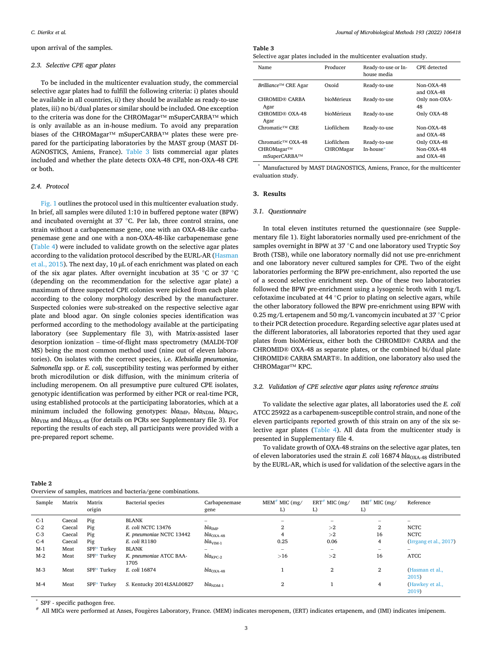#### upon arrival of the samples.

#### *2.3. Selective CPE agar plates*

To be included in the multicenter evaluation study, the commercial selective agar plates had to fulfill the following criteria: i) plates should be available in all countries, ii) they should be available as ready-to-use plates, iii) no bi/dual plates or similar should be included. One exception to the criteria was done for the CHROMagar™ mSuperCARBA™ which is only available as an in-house medium. To avoid any preparation biases of the CHROMagar™ mSuperCARBA™ plates these were prepared for the participating laboratories by the MAST group (MAST DI-AGNOSTICS, Amiens, France). Table 3 lists commercial agar plates included and whether the plate detects OXA-48 CPE, non-OXA-48 CPE or both.

#### *2.4. Protocol*

Fig. 1 outlines the protocol used in this multicenter evaluation study. In brief, all samples were diluted 1:10 in buffered peptone water (BPW) and incubated overnight at 37 ◦C. Per lab, three control strains, one strain without a carbapenemase gene, one with an OXA-48-like carbapenemase gene and one with a non-OXA-48-like carbapenemase gene (Table 4) were included to validate growth on the selective agar plates according to the validation protocol described by the EURL-AR (Hasman et al., 2015). The next day, 10 μL of each enrichment was plated on each of the six agar plates. After overnight incubation at 35 ◦C or 37 ◦C (depending on the recommendation for the selective agar plate) a maximum of three suspected CPE colonies were picked from each plate according to the colony morphology described by the manufacturer. Suspected colonies were sub-streaked on the respective selective agar plate and blood agar. On single colonies species identification was performed according to the methodology available at the participating laboratory (see Supplementary file 3), with Matrix-assisted laser desorption ionization – time-of-flight mass spectrometry (MALDI-TOF MS) being the most common method used (nine out of eleven laboratories). On isolates with the correct species, i.e. *Klebsiella pneumoniae, Salmonella* spp. or *E. coli,* susceptibility testing was performed by either broth microdilution or disk diffusion, with the minimum criteria of including meropenem. On all presumptive pure cultured CPE isolates, genotypic identification was performed by either PCR or real-time PCR, using established protocols at the participating laboratories, which at a minimum included the following genotypes:  $bla_{\text{IMP}}$ ,  $bla_{\text{NDM}}$ ,  $bla_{\text{KPC}}$ ,  $bla<sub>VIM</sub>$  and  $bla<sub>OXA-48</sub>$  (for details on PCRs see Supplementary file 3). For reporting the results of each step, all participants were provided with a pre-prepared report scheme.

#### *Journal of Microbiological Methods 193 (2022) 106418*

#### **Table 3**

| Selective agar plates included in the multicenter evaluation study. |
|---------------------------------------------------------------------|
|---------------------------------------------------------------------|

| Name                          | Producer   | Ready-to-use or In-<br>house media | CPE detected               |
|-------------------------------|------------|------------------------------------|----------------------------|
| Brilliance™ CRE Agar          | Oxoid      | Ready-to-use                       | $Non-OXA-48$<br>and OXA-48 |
| <b>CHROMID® CARBA</b><br>Agar | bioMérieux | Ready-to-use                       | Only non-OXA-<br>48        |
| CHROMID® OXA-48<br>Agar       | bioMérieux | Ready-to-use                       | Only OXA-48                |
| $Chromatic^{TM}$ CRE          | Liofilchem | Ready-to-use                       | $Non-OXA-48$<br>and OXA-48 |
| $Chromatic^{TM}$ OXA-48       | Liofilchem | Ready-to-use                       | Only OXA-48                |
| CHROMagar™<br>mSuperCARBA™    | CHROMagar  | In-house*                          | $Non-OXA-48$<br>and OXA-48 |

Manufactured by MAST DIAGNOSTICS, Amiens, France, for the multicenter evaluation study.

#### **3. Results**

#### *3.1. Questionnaire*

In total eleven institutes returned the questionnaire (see Supplementary file 1). Eight laboratories normally used pre-enrichment of the samples overnight in BPW at 37 ◦C and one laboratory used Tryptic Soy Broth (TSB), while one laboratory normally did not use pre-enrichment and one laboratory never cultured samples for CPE. Two of the eight laboratories performing the BPW pre-enrichment, also reported the use of a second selective enrichment step. One of these two laboratories followed the BPW pre-enrichment using a lysogenic broth with 1 mg/L cefotaxime incubated at 44 ◦C prior to plating on selective agars, while the other laboratory followed the BPW pre-enrichment using BPW with 0.25 mg/L ertapenem and 50 mg/L vancomycin incubated at 37 ◦C prior to their PCR detection procedure. Regarding selective agar plates used at the different laboratories, all laboratories reported that they used agar plates from bioMérieux, either both the CHROMID® CARBA and the CHROMID® OXA-48 as separate plates, or the combined bi/dual plate CHROMID® CARBA SMART®. In addition, one laboratory also used the CHROMagar™ KPC.

#### *3.2. Validation of CPE selective agar plates using reference strains*

To validate the selective agar plates, all laboratories used the *E. coli*  ATCC 25922 as a carbapenem-susceptible control strain, and none of the eleven participants reported growth of this strain on any of the six selective agar plates (Table 4). All data from the multicenter study is presented in Supplementary file 4.

To validate growth of OXA-48 strains on the selective agar plates, ten of eleven laboratories used the strain *E. coli* 16874 *bla*<sub>OXA-48</sub> distributed by the EURL-AR, which is used for validation of the selective agars in the

#### **Table 2**

Overview of samples, matrices and bacteria/gene combinations.

| Sample | Matrix | Matrix<br>origin | Bacterial species               | Carbapenemase<br>gene      | $MEM^{\#}$ MIC (mg/<br>L) | $ERT^*$ MIC (mg/<br>L) | $IMI^*$ MIC (mg/<br>L) | Reference                |
|--------|--------|------------------|---------------------------------|----------------------------|---------------------------|------------------------|------------------------|--------------------------|
| $C-1$  | Caecal | Pig              | <b>BLANK</b>                    |                            |                           |                        |                        |                          |
| $C-2$  | Caecal | Pig              | E. coli NCTC 13476              | $bla_{\text{IMP}}$         | 2                         | >2                     | 2                      | <b>NCTC</b>              |
| $C-3$  | Caecal | Pig              | K. pneumoniae NCTC 13442        | bla $_{\rm OXA\text{-}48}$ |                           | >2                     | 16                     | <b>NCTC</b>              |
| $C-4$  | Caecal | Pig              | E. coli R1180                   | $blaVIM-1$                 | 0.25                      | 0.06                   | 4                      | (Irrgang et al., 2017)   |
| $M-1$  | Meat   | SPF* Turkey      | <b>BLANK</b>                    |                            |                           |                        |                        |                          |
| $M-2$  | Meat   | SPF* Turkey      | K. pneumoniae ATCC BAA-<br>1705 | $bla_{KPC-2}$              | >16                       | >2                     | 16                     | ATCC                     |
| $M-3$  | Meat   | SPF* Turkey      | E. coli 16874                   | $bla_{\rm OXA\text{-}48}$  |                           | $\overline{2}$         | $\overline{2}$         | (Hasman et al.,<br>2015) |
| $M-4$  | Meat   | SPF* Turkey      | S. Kentucky 2014LSAL00827       | $bla_{\text{NDM-1}}$       | 2                         |                        | 4                      | (Hawkey et al.,<br>2019) |

% SPF - specific pathogen free.<br>All MICs were performed at Anses, Fougères Laboratory, France. (MEM) indicates meropenem, (ERT) indicates ertapenem, and (IMI) indicates imipenem.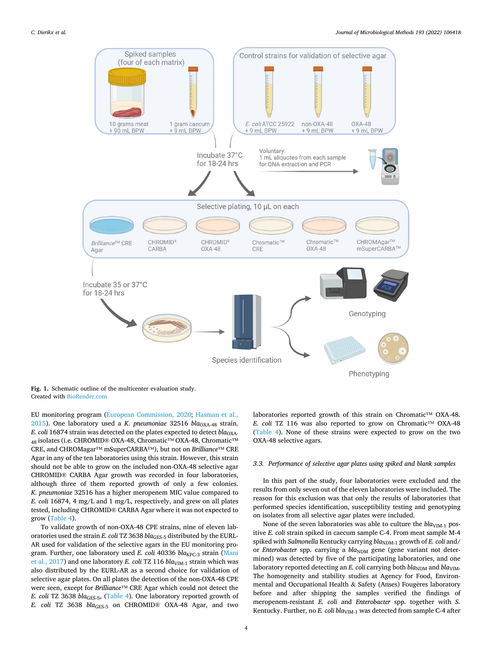

**Fig. 1.** Schematic outline of the multicenter evaluation study. Created with [BioRender.com](http://BioRender.com) 

EU monitoring program (European Commission, 2020; Hasman et al., 2015). One laboratory used a *K. pneumoniae* 32516 *bla*<sub>OXA-48</sub> strain. *E. coli* 16874 strain was detected on the plates expected to detect *bla*<sub>OXA</sub>. 48 isolates (i.e. CHROMID® OXA-48, Chromatic™ OXA-48, Chromatic™ CRE, and CHROMagar™ mSuperCARBA™), but not on *Brilliance*™ CRE Agar in any of the ten laboratories using this strain. However, this strain should not be able to grow on the included non-OXA-48 selective agar CHROMID® CARBA Agar growth was recorded in four laboratories, although three of them reported growth of only a few colonies. *K. pneumoniae* 32516 has a higher meropenem MIC value compared to *E. coli* 16874, 4 mg/L and 1 mg/L, respectively, and grew on all plates tested, including CHROMID® CARBA Agar where it was not expected to grow (Table 4).

To validate growth of non-OXA-48 CPE strains, nine of eleven laboratories used the strain *E. coli* TZ 3638 *bla*<sub>GES-5</sub> distributed by the EURL-AR used for validation of the selective agars in the EU monitoring program. Further, one laboratory used *E. coli* 40336 *bla*<sub>KPC-3</sub> strain (Mani et al., 2017) and one laboratory *E. coli* TZ 116 *bla*<sub>VIM-1</sub> strain which was also distributed by the EURL-AR as a second choice for validation of selective agar plates. On all plates the detection of the non-OXA-48 CPE were seen, except for *Brilliance*™ CRE Agar which could not detect the *E. coli* TZ 3638 *bla*GES-5, (Table 4). One laboratory reported growth of *E. coli* TZ 3638 *bla*GES-5 on CHROMID® OXA-48 Agar, and two laboratories reported growth of this strain on Chromatic™ OXA-48. *E. coli* TZ 116 was also reported to grow on Chromatic™ OXA-48 (Table 4). None of these strains were expected to grow on the two OXA-48 selective agars.

#### *3.3. Performance of selective agar plates using spiked and blank samples*

In this part of the study, four laboratories were excluded and the results from only seven out of the eleven laboratories were included. The reason for this exclusion was that only the results of laboratories that performed species identification, susceptibility testing and genotyping on isolates from all selective agar plates were included.

None of the seven laboratories was able to culture the  $bla<sub>VIM-1</sub>$  positive *E. coli* strain spiked in caecum sample C-4. From meat sample M-4 spiked with *Salmonella* Kentucky carrying *bla*<sub>NDM-1</sub> growth of *E. coli* and/ or *Enterobacter* spp. carrying a  $bla_{\text{NDM}}$  gene (gene variant not determined) was detected by five of the participating laboratories, and one laboratory reported detecting an *E. coli* carrying both  $bla_{\text{NDM}}$  and  $bla_{\text{VIM}}$ . The homogeneity and stability studies at Agency for Food, Environmental and Occupational Health  $\&$  Safety (Anses) Fougères laboratory before and after shipping the samples verified the findings of meropenem-resistant *E. coli* and *Enterobacter* spp. together with *S.*  Kentucky. Further, no *E. coli bla*<sub>VIM-1</sub> was detected from sample C-4 after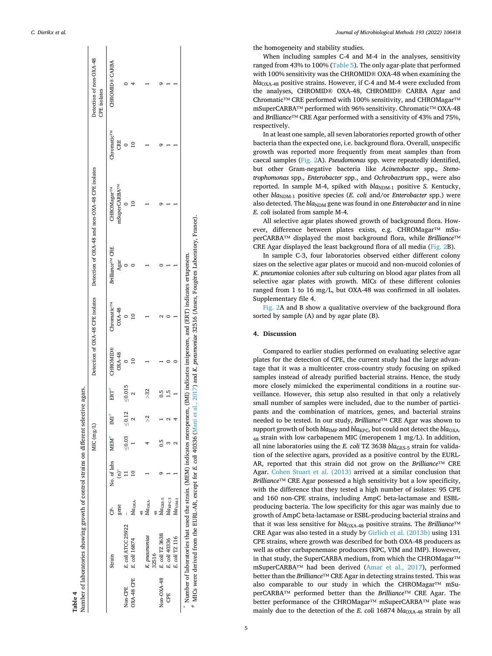|  | C. Dierikx et al. |  |  |  |
|--|-------------------|--|--|--|
|--|-------------------|--|--|--|

|            |                            |                      |                                           | MIC $(mg/L)$ |             |              |                                  |                                          |                                            | Detection of OXA-48 CPE isolates Detection of OXA-48 and non-OXA-48 CPE isolates |                                | Detection of non-OXA-48<br><b>CPE</b> isolates |
|------------|----------------------------|----------------------|-------------------------------------------|--------------|-------------|--------------|----------------------------------|------------------------------------------|--------------------------------------------|----------------------------------------------------------------------------------|--------------------------------|------------------------------------------------|
|            | Strain                     | gene<br>é            | No. of labs MEM <sup>*</sup><br>`ّة<br>(E |              | IMI"        | ERT          | <b>CHROMID®</b><br><b>OXA-48</b> | Chromatic <sup>TM</sup><br><b>OXA-48</b> | <b>Brilliance</b> <sup>N</sup> CRE<br>Agar | mSuperCARBA <sup>TM</sup><br>CHROMagar <sup>TM</sup>                             | Chromatic <sup>TM</sup><br>CRE | <b>CHROMID® CARBA</b>                          |
| Non-CPE    | E. coli ATCC 25922         |                      |                                           | < 0.03       | $\leq 0.12$ | ${}_{0.015}$ |                                  |                                          |                                            |                                                                                  |                                |                                                |
| OXA-48 CPE | E. coli 16874              | bla <sub>OXA</sub>   |                                           |              |             |              |                                  |                                          |                                            |                                                                                  |                                |                                                |
|            | K. pneumoniae              | bla <sub>OXA</sub>   |                                           |              |             | >32          |                                  |                                          |                                            |                                                                                  |                                |                                                |
|            | 32516                      |                      |                                           |              |             |              |                                  |                                          |                                            |                                                                                  |                                |                                                |
|            | Non-OXA-48 E. coli TZ 3638 | bla <sub>GES-5</sub> |                                           |              |             | 5.           |                                  |                                          |                                            |                                                                                  |                                |                                                |
| E<br>U     | E. coli 40336              | bla <sub>KPC-3</sub> |                                           |              |             |              |                                  |                                          |                                            |                                                                                  |                                |                                                |
|            | E. coli TZ 116             | bla <sub>VIM-1</sub> |                                           |              |             |              |                                  |                                          |                                            |                                                                                  |                                |                                                |

**Table 4** 

*Journal of Microbiological Methods 193 (2022) 106418*

the homogeneity and stability studies.

When including samples C-4 and M-4 in the analyses, sensitivity ranged from 43% to 100% (Table 5). The only agar-plate that performed with 100% sensitivity was the CHROMID® OXA-48 when examining the bla<sub>OXA-48</sub> positive strains. However, if C-4 and M-4 were excluded from the analyses, CHROMID® OXA-48, CHROMID® CARBA Agar and Chromatic™ CRE performed with 100% sensitivity, and CHROMagar™ mSuperCARBA™ performed with 96% sensitivity. Chromatic™ OXA-48 and *Brilliance*™ CRE Agar performed with a sensitivity of 43% and 75%, respectively.

In at least one sample, all seven laboratories reported growth of other bacteria than the expected one, i.e. background flora. Overall, unspecific growth was reported more frequently from meat samples than from caecal samples (Fig. 2A). *Pseudomonas* spp. were repeatedly identified, but other Gram-negative bacteria like *Acinetobacter* spp.*, Stenotrophomonas* spp.*, Enterobacter* spp., and *Ochrobactrum* spp.*,* were also reported. In sample M-4, spiked with  $bla_{NDM-1}$  positive *S*. Kentucky, other *bla*<sub>NDM-1</sub> positive species (*E. coli and/or Enterobacter spp.*) were also detected. The *bla*<sub>NDM</sub> gene was found in one *Enterobacter* and in nine *E. coli* isolated from sample M-4.

All selective agar plates showed growth of background flora. However, difference between plates exists, e.g. CHROMagar™ mSuperCARBA™ displayed the most background flora, while *Brilliance*™ CRE Agar displayed the least background flora of all media (Fig. 2B).

In sample C-3, four laboratories observed either different colony sizes on the selective agar plates or mucoid and non-mucoid colonies of *K. pneumoniae* colonies after sub culturing on blood agar plates from all selective agar plates with growth. MICs of these different colonies ranged from 1 to 16 mg/L, but OXA-48 was confirmed in all isolates. Supplementary file 4.

Fig. 2A and B show a qualitative overview of the background flora sorted by sample (A) and by agar plate (B).

#### **4. Discussion**

Compared to earlier studies performed on evaluating selective agar plates for the detection of CPE, the current study had the large advantage that it was a multicenter cross-country study focusing on spiked samples instead of already purified bacterial strains. Hence, the study more closely mimicked the experimental conditions in a routine surveillance. However, this setup also resulted in that only a relatively small number of samples were included, due to the number of participants and the combination of matrices, genes, and bacterial strains needed to be tested. In our study, *Brilliance*™ CRE Agar was shown to support growth of both  $bla_{\text{IMP}}$  and  $bla_{\text{KPC}}$ , but could not detect the  $bla_{\text{OXA}}$ -48 strain with low carbapenem MIC (meropenem 1 mg/L). In addition, all nine laboratories using the *E. coli* TZ 3638 *bla*<sub>GES-5</sub> strain for validation of the selective agars, provided as a positive control by the EURL-AR, reported that this strain did not grow on the *Brilliance*™ CRE Agar. Cohen Stuart et al. (2013) arrived at a similar conclusion that *Brilliance*™ CRE Agar possessed a high sensitivity but a low specificity, with the difference that they tested a high number of isolates: 95 CPE and 160 non-CPE strains, including AmpC beta-lactamase and ESBLproducing bacteria. The low specificity for this agar was mainly due to growth of AmpC beta-lactamase or ESBL-producing bacterial strains and that it was less sensitive for *bla*<sub>OXA-48</sub> positive strains. The *Brilliance*™ CRE Agar was also tested in a study by Girlich et al. (2013b) using 131 CPE strains, where growth was described for both OXA-48 producers as well as other carbapenemase producers (KPC, VIM and IMP). However, in that study, the SuperCARBA medium, from which the CHROMagar™ mSuperCARBA™ had been derived (Amar et al., 2017), performed better than the *Brilliance*™ CRE Agar in detecting strains tested. This was also comparable to our study in which the CHROMagar™ mSuperCARBA™ performed better than the *Brilliance*™ CRE Agar. The better performance of the CHROMagar™ mSuperCARBA™ plate was mainly due to the detection of the *E. coli* 16874 *bla*<sub>OXA-48</sub> strain by all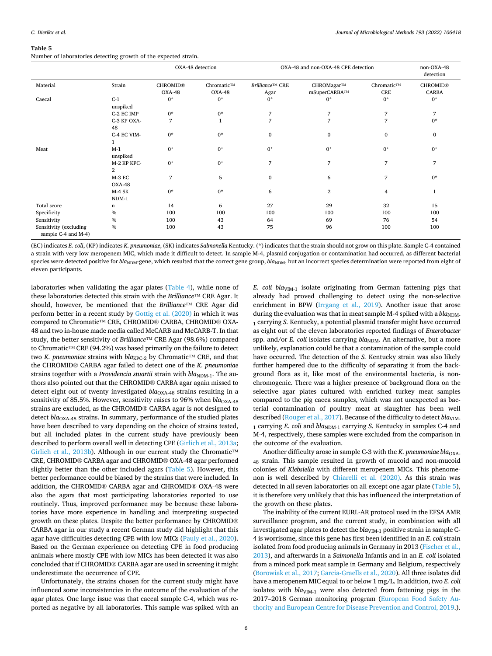#### **Table 5**

Number of laboratories detecting growth of the expected strain.

|                        | OXA-48 detection<br>OXA-48 and non-OXA-48 CPE detection |                           |                      | non-OXA-48<br>detection |                            |                   |                                 |
|------------------------|---------------------------------------------------------|---------------------------|----------------------|-------------------------|----------------------------|-------------------|---------------------------------|
| Material               | Strain                                                  | <b>CHROMID®</b><br>OXA-48 | Chromatic™<br>OXA-48 | Brilliance™ CRE<br>Agar | CHROMagar™<br>mSuperCARBA™ | Chromatic™<br>CRE | <b>CHROMID®</b><br><b>CARBA</b> |
| Caecal                 | $C-1$                                                   | $0^*$                     | $0^*$                | $0^*$                   | $0^*$                      | $0^*$             | $0^*$                           |
|                        | unspiked                                                |                           |                      |                         |                            |                   |                                 |
|                        | C-2 EC IMP                                              | $0*$                      | $0^*$                | 7                       | $\overline{7}$             | $\overline{7}$    | 7                               |
|                        | C-3 KP OXA-                                             | 7                         |                      | 7                       | 7                          | 7                 | $0^*$                           |
|                        | 48                                                      |                           |                      |                         |                            |                   |                                 |
|                        | C-4 EC VIM-                                             | $0*$                      | $0^*$                | $\bf{0}$                | $\mathbf{0}$               | $\mathbf{0}$      | $\bf{0}$                        |
|                        |                                                         |                           |                      |                         |                            |                   |                                 |
| Meat                   | $M-1$                                                   | $0^*$                     | $0^*$                | $0^*$                   | $0^*$                      | $0^*$             | $0^*$                           |
|                        | unspiked                                                |                           |                      |                         |                            |                   |                                 |
|                        | M-2 KP KPC-                                             | $0^*$                     | $0^*$                | $\overline{7}$          | 7                          | $\overline{7}$    | 7                               |
|                        | $\overline{2}$                                          |                           |                      |                         |                            |                   |                                 |
|                        | M-3 EC                                                  | 7                         | 5                    | $\bf{0}$                | 6                          | 7                 | $0^*$                           |
|                        | OXA-48                                                  |                           |                      |                         |                            |                   |                                 |
|                        | <b>M-4 SK</b>                                           | $0^*$                     | $0^*$                | 6                       | $\overline{2}$             | 4                 | 1                               |
|                        | $NDM-1$                                                 |                           |                      |                         |                            |                   |                                 |
| Total score            | n                                                       | 14                        | 6                    | 27                      | 29                         | 32                | 15                              |
| Specificity            | $\%$                                                    | 100                       | 100                  | 100                     | 100                        | 100               | 100                             |
| Sensitivity            | $\%$                                                    | 100                       | 43                   | 64                      | 69                         | 76                | 54                              |
| Sensitivity (excluding | $\%$                                                    | 100                       | 43                   | 75                      | 96                         | 100               | 100                             |
| sample C-4 and M-4)    |                                                         |                           |                      |                         |                            |                   |                                 |

(EC) indicates *E. coli*, (KP) indicates *K. pneumoniae*, (SK) indicates *Salmonella* Kentucky. (\*) indicates that the strain should not grow on this plate. Sample C-4 contained a strain with very low meropenem MIC, which made it difficult to detect. In sample M-4, plasmid conjugation or contamination had occurred, as different bacterial species were detected positive for *bla<sub>NDM</sub>*-gene, which resulted that the correct gene group, *bla<sub>NDM</sub>*, but an incorrect species determination were reported from eight of eleven participants.

laboratories when validating the agar plates (Table 4), while none of these laboratories detected this strain with the *Brilliance*™ CRE Agar. It should, however, be mentioned that the *Brilliance*™ CRE Agar did perform better in a recent study by Gottig et al. (2020) in which it was compared to Chromatic™ CRE, CHROMID® CARBA, CHROMID® OXA-48 and two in-house made media called McCARB and McCARB-T. In that study, the better sensitivity of *Brilliance*™ CRE Agar (98.6%) compared to Chromatic™ CRE (94.2%) was based primarily on the failure to detect two *K. pneumoniae* strains with *bla*<sub>KPC-2</sub> by Chromatic™ CRE, and that the CHROMID® CARBA agar failed to detect one of the *K. pneumoniae*  strains together with a *Providencia stuartii* strain with *bla*<sub>NDM-1</sub>. The authors also pointed out that the CHROMID® CARBA agar again missed to detect eight out of twenty investigated *bla*<sub>OXA-48</sub> strains resulting in a sensitivity of 85.5%. However, sensitivity raises to 96% when  $bla_{\text{OXA-48}}$ strains are excluded, as the CHROMID® CARBA agar is not designed to detect  $bla<sub>OXA-48</sub>$  strains. In summary, performance of the studied plates have been described to vary depending on the choice of strains tested, but all included plates in the current study have previously been described to perform overall well in detecting CPE (Girlich et al., 2013a; Girlich et al., 2013b). Although in our current study the Chromatic™ CRE, CHROMID® CARBA agar and CHROMID® OXA-48 agar performed slightly better than the other included agars (Table 5). However, this better performance could be biased by the strains that were included. In addition, the CHROMID® CARBA agar and CHROMID® OXA-48 were also the agars that most participating laboratories reported to use routinely. Thus, improved performance may be because these laboratories have more experience in handling and interpreting suspected growth on these plates. Despite the better performance by CHROMID® CARBA agar in our study a recent German study did highlight that this agar have difficulties detecting CPE with low MICs (Pauly et al., 2020). Based on the German experience on detecting CPE in food producing animals where mostly CPE with low MICs has been detected it was also concluded that if CHROMID® CARBA agar are used in screening it might underestimate the occurrence of CPE.

Unfortunately, the strains chosen for the current study might have influenced some inconsistencies in the outcome of the evaluation of the agar plates. One large issue was that caecal sample C-4, which was reported as negative by all laboratories. This sample was spiked with an *E. coli bla*VIM-1 isolate originating from German fattening pigs that already had proved challenging to detect using the non-selective enrichment in BPW (Irrgang et al., 2019). Another issue that arose during the evaluation was that in meat sample M-4 spiked with a *bla*<sub>NDM</sub>. 1 carrying *S.* Kentucky, a potential plasmid transfer might have occurred as eight out of the eleven laboratories reported findings of *Enterobacter*  spp. and/or *E. coli* isolates carrying *bla*<sub>NDM</sub>. An alternative, but a more unlikely, explanation could be that a contamination of the sample could have occurred. The detection of the *S.* Kentucky strain was also likely further hampered due to the difficulty of separating it from the background flora as it, like most of the environmental bacteria, is nonchromogenic. There was a higher presence of background flora on the selective agar plates cultured with enriched turkey meat samples compared to the pig caeca samples, which was not unexpected as bacterial contamination of poultry meat at slaughter has been well described (Rouger et al., 2017). Because of the difficulty to detect *bla*<sub>VIM-</sub> 1 carrying *E. coli* and *bla*<sub>NDM-1</sub> carrying *S.* Kentucky in samples C-4 and M-4, respectively, these samples were excluded from the comparison in the outcome of the evaluation.

Another difficulty arose in sample C-3 with the *K. pneumoniae bla*<sub>OXA-</sub> 48 strain. This sample resulted in growth of mucoid and non-mucoid colonies of *Klebsiella* with different meropenem MICs. This phenomenon is well described by Chiarelli et al. (2020). As this strain was detected in all seven laboratories on all except one agar plate (Table 5), it is therefore very unlikely that this has influenced the interpretation of the growth on these plates.

The inability of the current EURL-AR protocol used in the EFSA AMR surveillance program, and the current study, in combination with all investigated agar plates to detect the *bla*<sub>VIM-1</sub> positive strain in sample C-4 is worrisome, since this gene has first been identified in an *E. coli* strain isolated from food producing animals in Germany in 2013 (Fischer et al., 2013), and afterwards in a *Salmonella* Infantis and in an *E. coli* isolated from a minced pork meat sample in Germany and Belgium, respectively (Borowiak et al., 2017; Garcia-Graells et al., 2020). All three isolates did have a meropenem MIC equal to or below 1 mg/L. In addition, two *E. coli*  isolates with  $bla<sub>VIM-1</sub>$  were also detected from fattening pigs in the 2017–2018 German monitoring program (European Food Safety Authority and European Centre for Disease Prevention and Control, 2019.).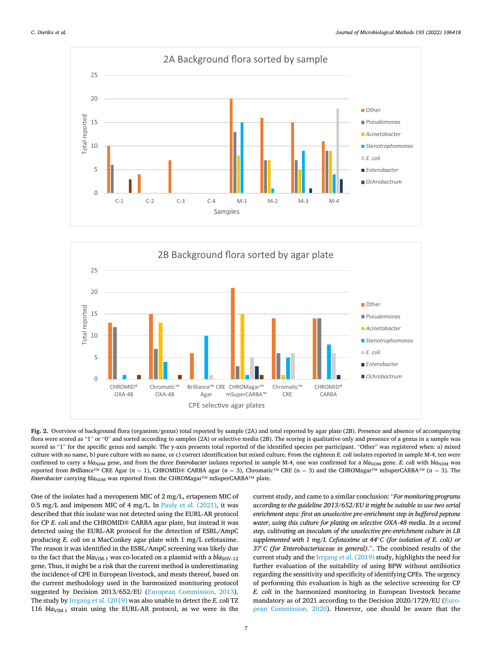



**Fig. 2.** Overview of background flora (organism/genus) total reported by sample (2A) and total reported by agar plate (2B). Presence and absence of accompanying flora were scored as "1" or "0" and sorted according to samples (2A) or selective media (2B). The scoring is qualitative only and presence of a genus in a sample was scored as "1" for the specific genus and sample. The y-axis presents total reported of the identified species per participant. "Other" was registered when: a) mixed culture with no name, b) pure culture with no name, or c) correct identification but mixed culture. From the eighteen *E. coli* isolates reported in sample M-4, ten were confirmed to carry a *bla<sub>NDM</sub>* gene, and from the three *Enterobacter* isolates reported in sample M-4, one was confirmed for a *bla<sub>NDM</sub>* gene. *E. coli with <i>bla*<sub>NDM</sub> was reported from *Brilliance*™ CRE Agar (*n* = 1), CHROMID® CARBA agar (*n* = 3), Chromatic™ CRE (n = 3) and the CHROMagar™ mSuperCARBA™ (n = 3). The *Enterobacter carrying bla*<sub>NDM</sub> was reported from the CHROMagar™ mSuperCARBA™ plate.

One of the isolates had a meropenem MIC of 2 mg/L, ertapenem MIC of 0.5 mg/L and imipenem MIC of 4 mg/L. In Pauly et al. (2021), it was described that this isolate was not detected using the EURL-AR protocol for CP *E. coli* and the CHROMID® CARBA agar plate, but instead it was detected using the EURL-AR protocol for the detection of ESBL/AmpC producing *E. coli* on a MacConkey agar plate with 1 mg/L cefotaxime. The reason it was identified in the ESBL/AmpC screening was likely due to the fact that the  $bla<sub>VIM-1</sub>$  was co-located on a plasmid with a  $bla<sub>SHV-12</sub>$ gene. Thus, it might be a risk that the current method is underestimating the incidence of CPE in European livestock, and meats thereof, based on the current methodology used in the harmonized monitoring protocol suggested by Decision 2013/652/EU (European Commission, 2013). The study by Irrgang et al. (2019) was also unable to detect the *E. coli* TZ 116 *bla*<sub>VIM-1</sub> strain using the EURL-AR protocol, as we were in the

current study, and came to a similar conclusion: "*For monitoring programs according to the guideline 2013/652/EU it might be suitable to use two serial enrichment steps: first an unselective pre-enrichment step in buffered peptone water, using this culture for plating on selective OXA-48 media. In a second step, cultivating an inoculum of the unselective pre-enrichment culture in LB supplemented with 1 mg/L Cefotaxime at 44*◦*C (for isolation of E. coli) or 37*◦*C (for Enterobacteriaceae in general).*". The combined results of the current study and the Irrgang et al. (2019) study, highlights the need for further evaluation of the suitability of using BPW without antibiotics regarding the sensitivity and specificity of identifying CPEs. The urgency of performing this evaluation is high as the selective screening for CP *E. coli* in the harmonized monitoring in European livestock became mandatory as of 2021 according to the Decision 2020/1729/EU (European Commission, 2020). However, one should be aware that the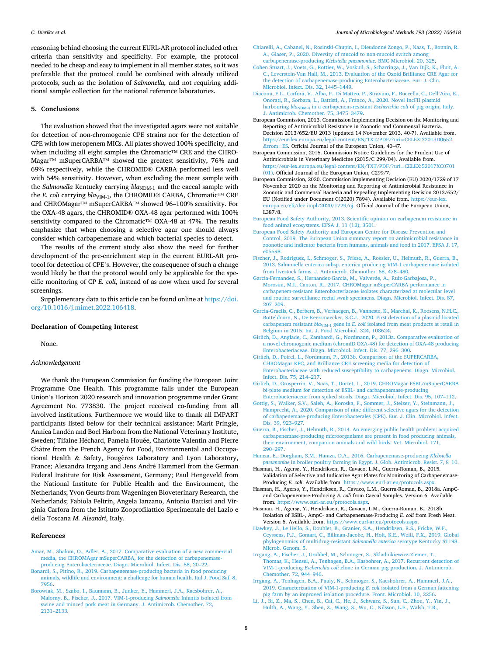reasoning behind choosing the current EURL-AR protocol included other criteria than sensitivity and specificity. For example, the protocol needed to be cheap and easy to implement in all member states, so it was preferable that the protocol could be combined with already utilized protocols, such as the isolation of *Salmonella,* and not requiring additional sample collection for the national reference laboratories.

#### **5. Conclusions**

The evaluation showed that the investigated agars were not suitable for detection of non-chromogenic CPE strains nor for the detection of CPE with low meropenem MICs. All plates showed 100% specificity, and when including all eight samples the Chromatic™ CRE and the CHRO-Magar™ mSuperCARBA™ showed the greatest sensitivity, 76% and 69% respectively, while the CHROMID® CARBA performed less well with 54% sensitivity. However, when excluding the meat sample with the *Salmonella* Kentucky carrying  $bla<sub>NDM-1</sub>$  and the caecal sample with the *E. coli* carrying *bla*VIM-1*,* the CHROMID® CARBA, Chromatic™ CRE and CHROMagar™ mSuperCARBA™ showed 96–100% sensitivity. For the OXA-48 agars, the CHROMID® OXA-48 agar performed with 100% sensitivity compared to the Chromatic™ OXA-48 at 47%. The results emphasize that when choosing a selective agar one should always consider which carbapenemase and which bacterial species to detect.

The results of the current study also show the need for further development of the pre-enrichment step in the current EURL-AR protocol for detection of CPE's. However, the consequence of such a change would likely be that the protocol would only be applicable for the specific monitoring of CP *E. coli*, instead of as now when used for several screenings.

Supplementary data to this article can be found online at [https://doi.](https://doi.org/10.1016/j.mimet.2022.106418)  [org/10.1016/j.mimet.2022.106418.](https://doi.org/10.1016/j.mimet.2022.106418)

#### **Declaration of Competing Interest**

None.

#### *Acknowledgement*

We thank the European Commission for funding the European Joint Programme One Health. This programme falls under the European Union's Horizon 2020 research and innovation programme under Grant Agreement No. 773830. The project received co-funding from all involved institutions. Furthermore we would like to thank all IMPART participants listed below for their technical assistance: Märit Pringle, Annica Landén and Boel Harbom from the National Veterinary Institute, Sweden; Tifaine Héchard, Pamela Houée, Charlotte Valentin and Pierre Châtre from the French Agency for Food, Environmental and Occupational Health & Safety, Fougères Laboratory and Lyon Laboratory, France; Alexandra Irrgang and Jens André Hammerl from the German Federal Institute for Risk Assessment, Germany; Paul Hengeveld from the National Institute for Public Health and the Environment, the Netherlands; Yvon Geurts from Wageningen Bioveterinary Research, the Netherlands; Fabiola Feltrin, Angela Ianzano, Antonio Battisti and Virginia Carfora from the Istituto Zooprofilattico Sperimentale del Lazio e della Toscana *M. Aleandri*, Italy.

#### **References**

- [Amar, M., Shalom, O., Adler, A., 2017. Comparative evaluation of a new commercial](http://refhub.elsevier.com/S0167-7012(22)00013-6/rf0005)  [media, the CHROMAgar mSuperCARBA, for the detection of carbapenemase](http://refhub.elsevier.com/S0167-7012(22)00013-6/rf0005)[producing Enterobacteriaceae. Diagn. Microbiol. Infect. Dis. 88, 20](http://refhub.elsevier.com/S0167-7012(22)00013-6/rf0005)–22.
- [Bonardi, S., Pitino, R., 2019. Carbapenemase-producing bacteria in food producing](http://refhub.elsevier.com/S0167-7012(22)00013-6/rf0010) [animals, wildlife and environment: a challenge for human health. Ital J. Food Saf. 8,](http://refhub.elsevier.com/S0167-7012(22)00013-6/rf0010)  [7956.](http://refhub.elsevier.com/S0167-7012(22)00013-6/rf0010)
- [Borowiak, M., Szabo, I., Baumann, B., Junker, E., Hammerl, J.A., Kaesbohrer, A.,](http://refhub.elsevier.com/S0167-7012(22)00013-6/rf0015) [Malorny, B., Fischer, J., 2017. VIM-1-producing](http://refhub.elsevier.com/S0167-7012(22)00013-6/rf0015) *Salmonella* Infantis isolated from [swine and minced pork meat in Germany. J. Antimicrob. Chemother. 72,](http://refhub.elsevier.com/S0167-7012(22)00013-6/rf0015) [2131](http://refhub.elsevier.com/S0167-7012(22)00013-6/rf0015)–2133.

#### *Journal of Microbiological Methods 193 (2022) 106418*

- [Chiarelli, A., Cabanel, N., Rosinski-Chupin, I., Dieudonn](http://refhub.elsevier.com/S0167-7012(22)00013-6/rf0020)´e Zongo, P., Naas, T., Bonnin, R. [A., Glaser, P., 2020. Diversity of mucoid to non-mucoid switch among](http://refhub.elsevier.com/S0167-7012(22)00013-6/rf0020) [carbapenemase-producing](http://refhub.elsevier.com/S0167-7012(22)00013-6/rf0020) *Klebsiella pneumoniae*. BMC Microbiol. 20, 325.
- [Cohen Stuart, J., Voets, G., Rottier, W., Voskuil, S., Scharringa, J., Van Dijk, K., Fluit, A.](http://refhub.elsevier.com/S0167-7012(22)00013-6/rf0025)  [C., Leverstein-Van Hall, M., 2013. Evaluation of the Oxoid Brilliance CRE Agar for](http://refhub.elsevier.com/S0167-7012(22)00013-6/rf0025) [the detection of carbapenemase-producing Enterobacteriaceae. Eur. J. Clin.](http://refhub.elsevier.com/S0167-7012(22)00013-6/rf0025) [Microbiol. Infect. Dis. 32, 1445](http://refhub.elsevier.com/S0167-7012(22)00013-6/rf0025)–1449.
- [Diaconu, E.L., Carfora, V., Alba, P., Di Matteo, P., Stravino, F., Buccella, C., Dell](http://refhub.elsevier.com/S0167-7012(22)00013-6/rf0030)'Aira, E., [Onorati, R., Sorbara, L., Battisti, A., Franco, A., 2020. Novel IncFII plasmid](http://refhub.elsevier.com/S0167-7012(22)00013-6/rf0030) harbouring *bla*<sub>NDM-4</sub> in a carbapenem-resistant *Escherichia coli* of pig origin, Italy. [J. Antimicrob. Chemother. 75, 3475](http://refhub.elsevier.com/S0167-7012(22)00013-6/rf0030)–3479.
- European Commission, 2013. Commission Implementing Decision on the Monitoring and Reporting of Antimicrobial Resistance in Zoonotic and Commensal Bacteria. Decision 2013/652/EU 2013 (updated 14 November 2013. 40-7). Available from.<br>https://eur-lex.europa.eu/legal-content/EN/TXT/PDF/?uri=CELEX:32013D0652 https://eur-lex.europa.eu/legal-content/EN/TXT/PDF/ &[from](https://eur-lex.europa.eu/legal-content/EN/TXT/PDF/?uri=CELEX:32013D0652&from=ES)=ES. Official Journal of the European Union, 40-47.
- European Commission, 2015. Commission Notice Guidelines for the Prudent Use of Antimicrobials in Veterinary Medicine (2015/C 299/04). Available from.<br>https://eur-lex.europa.eu/legal-content/EN/TXT/PDF/?uri=CELEX:52017 [https://eur-lex.europa.eu/legal-content/EN/TXT/PDF/?uri](https://eur-lex.europa.eu/legal-content/EN/TXT/PDF/?uri=CELEX:52017XC0701(01))=CELEX:52017XC0701 [\(01\).](https://eur-lex.europa.eu/legal-content/EN/TXT/PDF/?uri=CELEX:52017XC0701(01)) Official Journal of the European Union, C299/7.
- European Commission, 2020. Commission Implementing Decision (EU) 2020/1729 of 17 November 2020 on the Monitoring and Reporting of Antimicrobial Resistance in Zoonotic and Commensal Bacteria and Repealing Implementing Decision 2013/652/ EU (Notified under Document C(2020) 7894). Available from. [https://eur-lex.](https://eur-lex.europa.eu/eli/dec_impl/2020/1729/oj) [europa.eu/eli/dec\\_impl/2020/1729/oj.](https://eur-lex.europa.eu/eli/dec_impl/2020/1729/oj) Official Journal of the European Union, L387/8.
- [European Food Safety Authority, 2013. Scientific opinion on carbapenem resistance in](http://refhub.elsevier.com/S0167-7012(22)00013-6/rf0050) [food animal ecosystems. EFSA J. 11 \(12\), 3501](http://refhub.elsevier.com/S0167-7012(22)00013-6/rf0050).
- [European Food Safety Authority and European Centre for Disease Prevention and](http://refhub.elsevier.com/S0167-7012(22)00013-6/rf0055) [Control, 2019. The European Union summary report on antimicrobial resistance in](http://refhub.elsevier.com/S0167-7012(22)00013-6/rf0055) [zoonotic and indicator bacteria from humans, animals and food in 2017. EFSA J. 17,](http://refhub.elsevier.com/S0167-7012(22)00013-6/rf0055)  [e05598.](http://refhub.elsevier.com/S0167-7012(22)00013-6/rf0055)
- [Fischer, J., Rodriguez, I., Schmoger, S., Friese, A., Roesler, U., Helmuth, R., Guerra, B.,](http://refhub.elsevier.com/S0167-7012(22)00013-6/rf0060) [2013. Salmonella enterica subsp. enterica producing VIM-1 carbapenemase isolated](http://refhub.elsevier.com/S0167-7012(22)00013-6/rf0060)  [from livestock farms. J. Antimicrob. Chemother. 68, 478](http://refhub.elsevier.com/S0167-7012(22)00013-6/rf0060)–480.
- [Garcia-Fernandez, S., Hernandez-Garcia, M., Valverde, A., Ruiz-Garbajosa, P.,](http://refhub.elsevier.com/S0167-7012(22)00013-6/rf0065) [Morosini, M.I., Canton, R., 2017. CHROMagar mSuperCARBA performance in](http://refhub.elsevier.com/S0167-7012(22)00013-6/rf0065)  [carbapenem-resistant Enterobacteriaceae isolates characterized at molecular level](http://refhub.elsevier.com/S0167-7012(22)00013-6/rf0065) [and routine surveillance rectal swab specimens. Diagn. Microbiol. Infect. Dis. 87,](http://refhub.elsevier.com/S0167-7012(22)00013-6/rf0065) 207–[209](http://refhub.elsevier.com/S0167-7012(22)00013-6/rf0065).
- [Garcia-Graells, C., Berbers, B., Verhaegen, B., Vanneste, K., Marchal, K., Roosens, N.H.C.,](http://refhub.elsevier.com/S0167-7012(22)00013-6/rf0070)  [Botteldoorn, N., De Keersmaecker, S.C.J., 2020. First detection of a plasmid located](http://refhub.elsevier.com/S0167-7012(22)00013-6/rf0070)  carbapenem resistant *bla*<sub>VIM-1</sub> gene in *E. coli* isolated from meat products at retail in [Belgium in 2015. Int. J. Food Microbiol. 324, 108624](http://refhub.elsevier.com/S0167-7012(22)00013-6/rf0070).
- [Girlich, D., Anglade, C., Zambardi, G., Nordmann, P., 2013a. Comparative evaluation of](http://refhub.elsevier.com/S0167-7012(22)00013-6/rf0075)  [a novel chromogenic medium \(chromID OXA-48\) for detection of OXA-48 producing](http://refhub.elsevier.com/S0167-7012(22)00013-6/rf0075)  [Enterobacteriaceae. Diagn. Microbiol. Infect. Dis. 77, 296](http://refhub.elsevier.com/S0167-7012(22)00013-6/rf0075)–300.
- [Girlich, D., Poirel, L., Nordmann, P., 2013b. Comparison of the SUPERCARBA,](http://refhub.elsevier.com/S0167-7012(22)00013-6/rf0080) [CHROMagar KPC, and Brilliance CRE screening media for detection of](http://refhub.elsevier.com/S0167-7012(22)00013-6/rf0080)  [Enterobacteriaceae with reduced susceptibility to carbapenems. Diagn. Microbiol.](http://refhub.elsevier.com/S0167-7012(22)00013-6/rf0080)  [Infect. Dis. 75, 214](http://refhub.elsevier.com/S0167-7012(22)00013-6/rf0080)–217.
- [Girlich, D., Grosperrin, V., Naas, T., Dortet, L., 2019. CHROMagar ESBL/mSuperCARBA](http://refhub.elsevier.com/S0167-7012(22)00013-6/rf0085)  [bi-plate medium for detection of ESBL- and carbapenemase-producing](http://refhub.elsevier.com/S0167-7012(22)00013-6/rf0085)
- [Enterobacteriaceae from spiked stools. Diagn. Microbiol. Infect. Dis. 95, 107](http://refhub.elsevier.com/S0167-7012(22)00013-6/rf0085)–112. [Gottig, S., Walker, S.V., Saleh, A., Koroska, F., Sommer, J., Stelzer, Y., Steinmann, J.,](http://refhub.elsevier.com/S0167-7012(22)00013-6/rf0090) [Hamprecht, A., 2020. Comparison of nine different selective agars for the detection](http://refhub.elsevier.com/S0167-7012(22)00013-6/rf0090)  [of carbapenemase-producing Enterobacterales \(CPE\). Eur. J. Clin. Microbiol. Infect.](http://refhub.elsevier.com/S0167-7012(22)00013-6/rf0090)  [Dis. 39, 923](http://refhub.elsevier.com/S0167-7012(22)00013-6/rf0090)–927.
- [Guerra, B., Fischer, J., Helmuth, R., 2014. An emerging public health problem: acquired](http://refhub.elsevier.com/S0167-7012(22)00013-6/rf0095)  [carbapenemase-producing microorganisms are present in food producing animals,](http://refhub.elsevier.com/S0167-7012(22)00013-6/rf0095) [their environment, companion animals and wild birds. Vet. Microbiol. 171,](http://refhub.elsevier.com/S0167-7012(22)00013-6/rf0095)  290–[297](http://refhub.elsevier.com/S0167-7012(22)00013-6/rf0095).
- [Hamza, E., Dorgham, S.M., Hamza, D.A., 2016. Carbapenemase-producing](http://refhub.elsevier.com/S0167-7012(22)00013-6/rf0100) *Klebsiella pneumoniae* [in broiler poultry farming in Egypt. J. Glob. Antimicrob. Resist. 7, 8](http://refhub.elsevier.com/S0167-7012(22)00013-6/rf0100)–10.
- Hasman, H., Agersø, Y., Hendriksen, R., Cavaco, L.M., Guerra-Roman, B., 2015. Validation of Selective and Indicative Agar Plates for Monitoring of Carbapenemase-Producing *E. coli.* Available from. https://www.eurl-ar.eu/protocols.as
- Hasman, H., Agersø, Y., Hendriksen, R., Cavaco, L.M., Guerra-Roman, B., 2018a. AmpCand Carbapenemase-Producing *E. coli* from Caecal Samples. Version 6. Available from. [https://www.eurl-ar.eu/protocols.aspx.](https://www.eurl-ar.eu/protocols.aspx)
- Hasman, H., Agersø, Y., Hendriksen, R., Cavaco, L.M., Guerra-Roman, B., 2018b. Isolation of ESBL-, AmpC- and Carbapenemase-Producing *E. coli* from Fresh Meat. Version 6. Available from. https://www.eurl-ar.eu/protocols.asp
- [Hawkey, J., Le Hello, S., Doublet, B., Granier, S.A., Hendriksen, R.S., Fricke, W.F.,](http://refhub.elsevier.com/S0167-7012(22)00013-6/rf0120)  [Ceyssens, P.J., Gomart, C., Billman-Jacobe, H., Holt, K.E., Weill, F.X., 2019. Global](http://refhub.elsevier.com/S0167-7012(22)00013-6/rf0120)  [phylogenomics of multidrug-resistant](http://refhub.elsevier.com/S0167-7012(22)00013-6/rf0120) *Salmonella enterica* serotype Kentucky ST198. [Microb. Genom. 5.](http://refhub.elsevier.com/S0167-7012(22)00013-6/rf0120)
- [Irrgang, A., Fischer, J., Grobbel, M., Schmoger, S., Skladnikiewicz-Ziemer, T.,](http://refhub.elsevier.com/S0167-7012(22)00013-6/rf0125)  [Thomas, K., Hensel, A., Tenhagen, B.A., Kasbohrer, A., 2017. Recurrent detection of](http://refhub.elsevier.com/S0167-7012(22)00013-6/rf0125)  VIM-1-producing *Escherichia coli* [clone in German pig production. J. Antimicrob.](http://refhub.elsevier.com/S0167-7012(22)00013-6/rf0125) [Chemother. 72, 944](http://refhub.elsevier.com/S0167-7012(22)00013-6/rf0125)–946.
- [Irrgang, A., Tenhagen, B.A., Pauly, N., Schmoger, S., Kaesbohrer, A., Hammerl, J.A.,](http://refhub.elsevier.com/S0167-7012(22)00013-6/rf0130)  [2019. Characterization of VIM-1-producing](http://refhub.elsevier.com/S0167-7012(22)00013-6/rf0130) *E. coli* isolated from a German fattening [pig farm by an improved isolation procedure. Front. Microbiol. 10, 2256.](http://refhub.elsevier.com/S0167-7012(22)00013-6/rf0130)
- [Li, J., Bi, Z., Ma, S., Chen, B., Cai, C., He, J., Schwarz, S., Sun, C., Zhou, Y., Yin, J.,](http://refhub.elsevier.com/S0167-7012(22)00013-6/rf0135) [Hulth, A., Wang, Y., Shen, Z., Wang, S., Wu, C., Nilsson, L.E., Walsh, T.R.,](http://refhub.elsevier.com/S0167-7012(22)00013-6/rf0135)